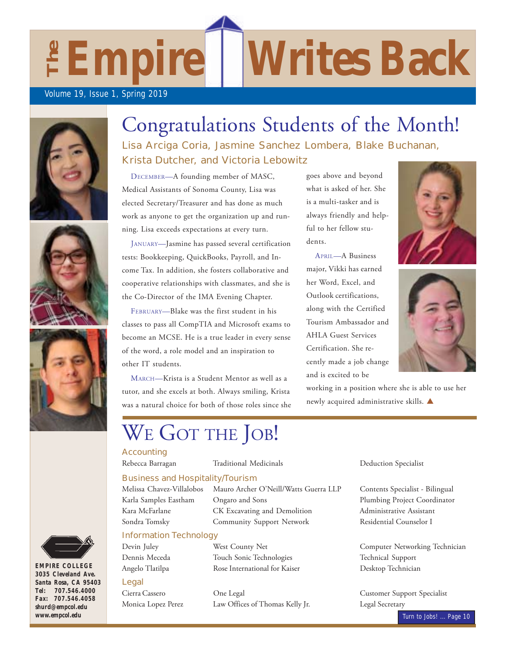$E$ **Empire** 

### Volume 19, Issue 1, Spring 2019









*EMPIRE COLLEGE 3035 Cleveland Ave. Santa Rosa, CA 95403 Tel: 707.546.4000 Fax: 707.546.4058 shurd@empcol.edu www.empcol.edu*

# Congratulations Students of the Month!

Lisa Arciga Coria, Jasmine Sanchez Lombera, Blake Buchanan, Krista Dutcher, and Victoria Lebowitz

DECEMBER—A founding member of MASC, Medical Assistants of Sonoma County, Lisa was elected Secretary/Treasurer and has done as much work as anyone to get the organization up and running. Lisa exceeds expectations at every turn.

JANUARY—Jasmine has passed several certification tests: Bookkeeping, QuickBooks, Payroll, and Income Tax. In addition, she fosters collaborative and cooperative relationships with classmates, and she is the Co-Director of the IMA Evening Chapter.

FEBRUARY—Blake was the first student in his classes to pass all CompTIA and Microsoft exams to become an MCSE. He is a true leader in every sense of the word, a role model and an inspiration to other IT students.

MARCH-Krista is a Student Mentor as well as a tutor, and she excels at both. Always smiling, Krista was a natural choice for both of those roles since she

# WE GOT THE JOB!

### **Accounting**

### Business and Hospitality/Tourism

Karla Samples Eastham Kara McFarlane

Melissa Chavez-Villalobos Mauro Archer O'Neill/Watts Guerra LLP Contents Specialist - Bilingual Ongaro and Sons Thumbing Project Coordinator CK Excavating and Demolition Administrative Assistant Sondra Tomsky Community Support Network Residential Counselor I

### Information Technology

### Legal

Dennis Meceda Touch Sonic Technologies Technical Support Angelo Tlatilpa **12 Component Rose International for Kaiser** 1 12 Desktop Technician

Cierra Cassero Cone Legal Customer Support Specialist Monica Lopez Perez **Law Offices of Thomas Kelly Jr.** Legal Secretary

goes above and beyond what is asked of her. She is a multi-tasker and is always friendly and helpful to her fellow students.

**Writes Back** 

APRIL—A Business major, Vikki has earned her Word, Excel, and Outlook certifications. along with the Certified Tourism Ambassador and AHLA Guest Services Certification. She recently made a job change and is excited to be

working in a position where she is able to use her newly acquired administrative skills.  $\blacktriangle$ 

Rebecca Barragan Traditional Medicinals Deduction Specialist

 0 0& +&1/



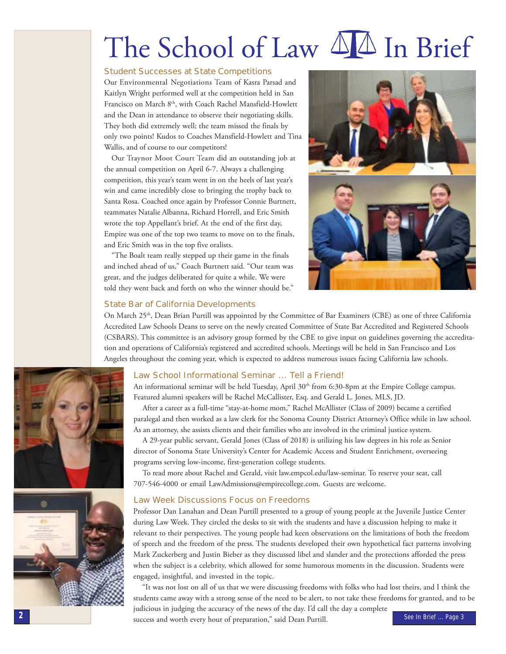# The School of Law 44 In Brief

### **Student Successes at State Competitions**

Our Environmental Negotiations Team of Kasra Parsad and Kaitlyn Wright performed well at the competition held in San Francisco on March 8<sup>th</sup>, with Coach Rachel Mansfield-Howlett and the Dean in attendance to observe their negotiating skills. They both did extremely well; the team missed the finals by only two points! Kudos to Coaches Mansfield-Howlett and Tina Wallis, and of course to our competitors!

Our Traynor Moot Court Team did an outstanding job at the annual competition on April 6-7. Always a challenging competition, this year's team went in on the heels of last year's win and came incredibly close to bringing the trophy back to Santa Rosa. Coached once again by Professor Connie Burtnett, teammates Natalie Albanna, Richard Horrell, and Eric Smith wrote the top Appellant's brief. At the end of the first day, Empire was one of the top two teams to move on to the finals, and Eric Smith was in the top five oralists.

"The Boalt team really stepped up their game in the finals and inched ahead of us," Coach Burtnett said. "Our team was great, and the judges deliberated for quite a while. We were told they went back and forth on who the winner should be."



### **State Bar of California Developments**

On March 25<sup>th</sup>, Dean Brian Purtill was appointed by the Committee of Bar Examiners (CBE) as one of three California Accredited Law Schools Deans to serve on the newly created Committee of State Bar Accredited and Registered Schools (CSBARS). This committee is an advisory group formed by the CBE to give input on guidelines governing the accreditation and operations of California's registered and accredited schools. Meetings will be held in San Francisco and Los Angeles throughout the coming year, which is expected to address numerous issues facing California law schools.



An informational seminar will be held Tuesday, April 30<sup>th</sup> from 6:30-8pm at the Empire College campus. Featured alumni speakers will be Rachel McCallister, Esq. and Gerald L. Jones, MLS, JD.

After a career as a full-time "stay-at-home mom," Rachel McAllister (Class of 2009) became a certified paralegal and then worked as a law clerk for the Sonoma County District Attorney's Office while in law school. As an attorney, she assists clients and their families who are involved in the criminal justice system.

A 29-year public servant, Gerald Jones (Class of 2018) is utilizing his law degrees in his role as Senior director of Sonoma State University's Center for Academic Access and Student Enrichment, overseeing programs serving low-income, first-generation college students.

To read more about Rachel and Gerald, visit law.empcol.edu/law-seminar. To reserve your seat, call 707-546-4000 or email LawAdmissions@empirecollege.com. Guests are welcome.

### **Law Week Discussions Focus on Freedoms**

Professor Dan Lanahan and Dean Purtill presented to a group of young people at the Juvenile Justice Center during Law Week. They circled the desks to sit with the students and have a discussion helping to make it relevant to their perspectives. The young people had keen observations on the limitations of both the freedom of speech and the freedom of the press. The students developed their own hypothetical fact patterns involving Mark Zuckerberg and Justin Bieber as they discussed libel and slander and the protections afforded the press when the subject is a celebrity, which allowed for some humorous moments in the discussion. Students were engaged, insightful, and invested in the topic.

"It was not lost on all of us that we were discussing freedoms with folks who had lost theirs, and I think the students came away with a strong sense of the need to be alert, to not take these freedoms for granted, and to be judicious in judging the accuracy of the news of the day. I'd call the day a complete

success and worth every hour of preparation," said Dean Purtill.



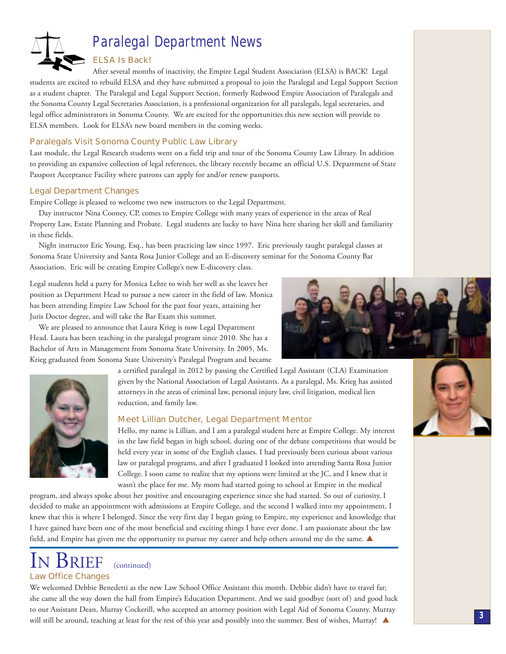

# **Paralegal Department News**

### **ELSA Is Back!**

After several months of inactivity, the Empire Legal Student Association (ELSA) is BACK! Legal students are excited to rebuild ELSA and they have submitted a proposal to join the Paralegal and Legal Support Section as a student chapter. The Paralegal and Legal Support Section, formerly Redwood Empire Association of Paralegals and the Sonoma County Legal Secretaries Association, is a professional organization for all paralegals, legal secretaries, and legal office administrators in Sonoma County. We are excited for the opportunities this new section will provide to ELSA members. Look for ELSA's new board members in the coming weeks.

### **Paralegals Visit Sonoma County Public Law Library**

Last module, the Legal Research students went on a field trip and tour of the Sonoma County Law Library. In addition to providing an expansive collection of legal references, the library recently became an official U.S. Department of State Passport Acceptance Facility where patrons can apply for and/or renew passports.

### **Legal Department Changes**

Empire College is pleased to welcome two new instructors to the Legal Department.

Day instructor Nina Cooney, CP, comes to Empire College with many years of experience in the areas of Real Property Law, Estate Planning and Probate. Legal students are lucky to have Nina here sharing her skill and familiarity in these fields.

Night instructor Eric Young, Esq., has been practicing law since 1997. Eric previously taught paralegal classes at Sonoma State University and Santa Rosa Junior College and an E-discovery seminar for the Sonoma County Bar Association. Eric will be creating Empire College's new E-discovery class.

Legal students held a party for Monica Lehre to wish her well as she leaves her position as Department Head to pursue a new career in the field of law. Monica has been attending Empire Law School for the past four years, attaining her Juris Doctor degree, and will take the Bar Exam this summer.

We are pleased to announce that Laura Krieg is now Legal Department Head. Laura has been teaching in the paralegal program since 2010. She has a Bachelor of Arts in Management from Sonoma State University. In 2005, Ms. Krieg graduated from Sonoma State University's Paralegal Program and became

> a certified paralegal in 2012 by passing the Certified Legal Assistant (CLA) Examination given by the National Association of Legal Assistants. As a paralegal, Ms. Krieg has assisted attorneys in the areas of criminal law, personal injury law, civil litigation, medical lien reduction, and family law.

### Meet Lillian Dutcher, Legal Department Mentor

Hello, my name is Lillian, and I am a paralegal student here at Empire College. My interest in the law field began in high school, during one of the debate competitions that would be held every year in some of the English classes. I had previously been curious about various law or paralegal programs, and after I graduated I looked into attending Santa Rosa Junior College. I soon came to realize that my options were limited at the JC, and I knew that it wasn't the place for me. My mom had started going to school at Empire in the medical

program, and always spoke about her positive and encouraging experience since she had started. So out of curiosity, I decided to make an appointment with admissions at Empire College, and the second I walked into my appointment, I knew that this is where I belonged. Since the very first day I began going to Empire, my experience and knowledge that I have gained have been one of the most beneficial and exciting things I have ever done. I am passionate about the law field, and Empire has given me the opportunity to pursue my career and help others around me do the same.

### v Brief (continued) **Law Office Changes**

We welcomed Debbie Benedetti as the new Law School Office Assistant this month. Debbie didn't have to travel far; she came all the way down the hall from Empire's Education Department. And we said goodbye (sort of) and good luck to our Assistant Dean, Murray Cockerill, who accepted an attorney position with Legal Aid of Sonoma County. Murray will still be around, teaching at least for the rest of this year and possibly into the summer. Best of wishes, Murray!



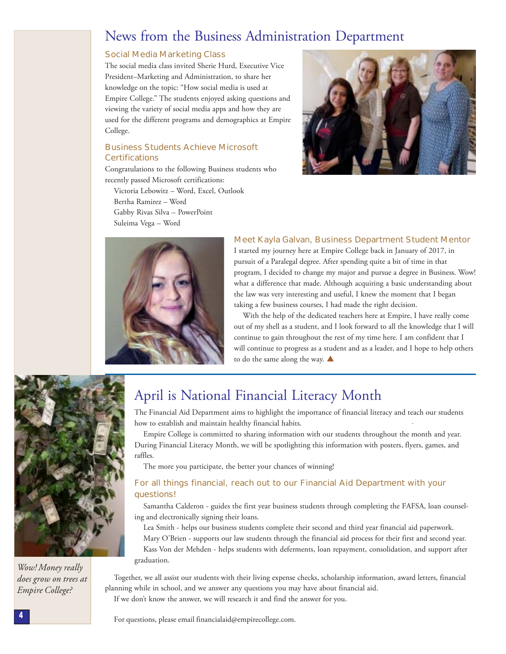### News from the Business Administration Department

### **Social Media Marketing Class**

The social media class invited Sherie Hurd, Executive Vice President-Marketing and Administration, to share her knowledge on the topic: "How social media is used at Empire College." The students enjoyed asking questions and viewing the variety of social media apps and how they are used for the different programs and demographics at Empire College.

### **Business Students Achieve Microsoft Certifications**

Congratulations to the following Business students who recently passed Microsoft certifications:

Victoria Lebowitz - Word, Excel, Outlook Bertha Ramirez - Word Gabby Rivas Silva - PowerPoint Suleima Vega - Word





### Meet Kayla Galvan, Business Department Student Mentor

I started my journey here at Empire College back in January of 2017, in pursuit of a Paralegal degree. After spending quite a bit of time in that program, I decided to change my major and pursue a degree in Business. Wow! what a difference that made. Although acquiring a basic understanding about the law was very interesting and useful, I knew the moment that I began taking a few business courses, I had made the right decision.

With the help of the dedicated teachers here at Empire, I have really come out of my shell as a student, and I look forward to all the knowledge that I will continue to gain throughout the rest of my time here. I am confident that I will continue to progress as a student and as a leader, and I hope to help others to do the same along the way. ▲



Wow! Money really does grow on trees at **Empire College?** 

# April is National Financial Literacy Month

The Financial Aid Department aims to highlight the importance of financial literacy and teach our students how to establish and maintain healthy financial habits.

Empire College is committed to sharing information with our students throughout the month and year. During Financial Literacy Month, we will be spotlighting this information with posters, flyers, games, and raffles.

The more you participate, the better your chances of winning!

### For all things financial, reach out to our Financial Aid Department with your questions!

Samantha Calderon - guides the first year business students through completing the FAFSA, loan counseling and electronically signing their loans.

Lea Smith - helps our business students complete their second and third year financial aid paperwork.

Mary O'Brien - supports our law students through the financial aid process for their first and second year.

Kass Von der Mehden - helps students with deferments, loan repayment, consolidation, and support after graduation.

Together, we all assist our students with their living expense checks, scholarship information, award letters, financial planning while in school, and we answer any questions you may have about financial aid.

If we don't know the answer, we will research it and find the answer for you.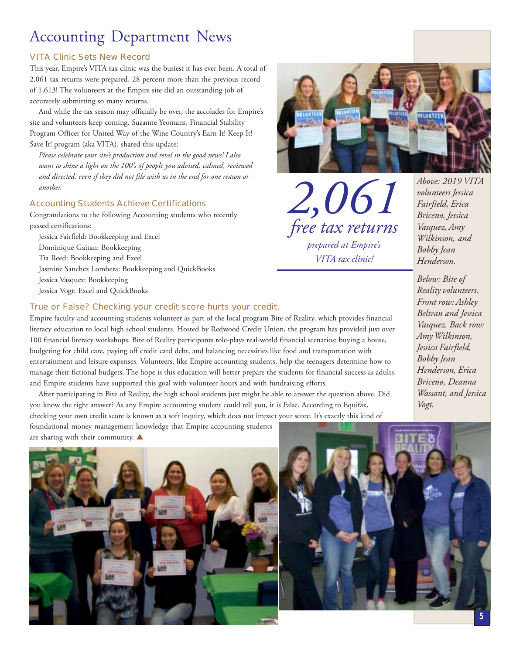# **Accounting Department News**

### **VITA Clinic Sets New Record**

This year, Empire's VITA tax clinic was the busiest it has ever been. A total of 2,061 tax returns were prepared, 28 percent more than the previous record of 1,613! The volunteers at the Empire site did an outstanding job of accurately submitting so many returns.

And while the tax season may officially be over, the accolades for Empire's site and volunteers keep coming. Suzanne Yeomans, Financial Stability Program Officer for United Way of the Wine Country's Earn It! Keep It! Save It! program (aka VITA), shared this update:

Please celebrate your site's production and revel in the good news! I also want to shine a light on the 100's of people you advised, calmed, reviewed and directed, even if they did not file with us in the end for one reason or another.

### **Accounting Students Achieve Certifications**

Congratulations to the following Accounting students who recently passed certifications:

Jessica Fairfield: Bookkeeping and Excel Dominique Gaitan: Bookkeeping Tia Reed: Bookkeeping and Excel Jasmine Sanchez Lombera: Bookkeeping and QuickBooks Jessica Vasquez: Bookkeeping Jessica Vogt: Excel and QuickBooks

### True or False? Checking your credit score hurts your credit.

Empire faculty and accounting students volunteer as part of the local program Bite of Reality, which provides financial literacy education to local high school students. Hosted by Redwood Credit Union, the program has provided just over 100 financial literacy workshops. Bite of Reality participants role-plays real-world financial scenarios: buying a house, budgeting for child care, paying off credit card debt, and balancing necessities like food and transportation with entertainment and leisure expenses. Volunteers, like Empire accounting students, help the teenagers determine how to manage their fictional budgets. The hope is this education will better prepare the students for financial success as adults, and Empire students have supported this goal with volunteer hours and with fundraising efforts.

After participating in Bite of Reality, the high school students just might be able to answer the question above. Did you know the right answer? As any Empire accounting student could tell you, it is False. According to Equifax, checking your own credit score is known as a soft inquiry, which does not impact your score. It's exactly this kind of foundational money management knowledge that Empire accounting students

are sharing with their community. ▲





2,061 free tax returns prepared at Empire's VITA tax clinic!

Above: 2019 VITA volunteers Jessica Fairfield, Erica Briceno, Jessica Vasquez, Amy Wilkinson, and **Bobby** Jean Henderson.

Below: Bite of Reality volunteers. Front row: Ashley Beltran and Jessica Vasquez. Back row: Amy Wilkinson, Jessica Fairfield, **Bobby** Jean Henderson, Erica Briceno, Deanna Wassant, and Jessica Vogt.

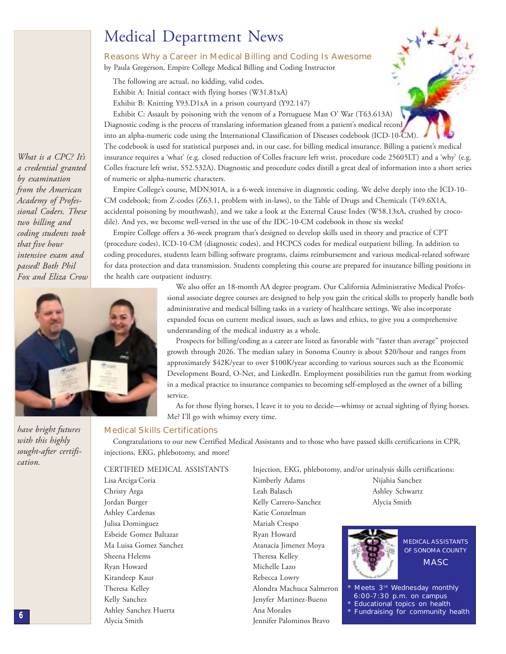# **Medical Department News**

### **Reasons Why a Career in Medical Billing and Coding Is Awesome**

by Paula Gregerson, Empire College Medical Billing and Coding Instructor

The following are actual, no kidding, valid codes.

Exhibit A: Initial contact with flying horses (W31.81xA)

Exhibit B: Knitting Y93.D1xA in a prison courtyard (Y92.147)

Exhibit C: Assault by poisoning with the venom of a Portuguese Man O' War (T63.613A) Diagnostic coding is the process of translating information gleaned from a patient's medical record into an alpha-numeric code using the International Classification of Diseases codebook (ICD-10-CM). The codebook is used for statistical purposes and, in our case, for billing medical insurance. Billing a patient's medical insurance requires a 'what' (e.g. closed reduction of Colles fracture left wrist, procedure code 25605LT) and a 'why' (e.g. Colles fracture left wrist, S52.532A). Diagnostic and procedure codes distill a great deal of information into a short series of numeric or alpha-numeric characters.

Empire College's course, MDN301A, is a 6-week intensive in diagnostic coding. We delve deeply into the ICD-10-CM codebook; from Z-codes (Z63.1, problem with in-laws), to the Table of Drugs and Chemicals (T49.6X1A, accidental poisoning by mouthwash), and we take a look at the External Cause Index (W58.13xA, crushed by crocodile). And yes, we become well-versed in the use of the IDC-10-CM codebook in those six weeks!

Empire College offers a 36-week program that's designed to develop skills used in theory and practice of CPT (procedure codes), ICD-10-CM (diagnostic codes), and HCPCS codes for medical outpatient billing. In addition to coding procedures, students learn billing software programs, claims reimbursement and various medical-related software for data protection and data transmission. Students completing this course are prepared for insurance billing positions in the health care outpatient industry.

> We also offer an 18-month AA degree program. Our California Administrative Medical Professional associate degree courses are designed to help you gain the critical skills to properly handle both administrative and medical billing tasks in a variety of healthcare settings. We also incorporate expanded focus on current medical issues, such as laws and ethics, to give you a comprehensive understanding of the medical industry as a whole.

> Prospects for billing/coding as a career are listed as favorable with "faster than average" projected growth through 2026. The median salary in Sonoma County is about \$20/hour and ranges from approximately \$42K/year to over \$100K/year according to various sources such as the Economic Development Board, O-Net, and LinkedIn. Employment possibilities run the gamut from working in a medical practice to insurance companies to becoming self-employed as the owner of a billing service.

> As for those flying horses, I leave it to you to decide—whimsy or actual sighting of flying horses. Me? I'll go with whimsy every time.

What is a CPC? It's a credential granted by examination from the American Academy of Professional Coders. These two billing and coding students took that five hour intensive exam and passed! Both Phil Fox and Eliza Crow



have bright futures with this highly sought-after certification.

#### **Medical Skills Certifications**

Congratulations to our new Certified Medical Assistants and to those who have passed skills certifications in CPR, injections, EKG, phlebotomy, and more!

Mariah Crespo

Ryan Howard

Theresa Kelley

Michelle Lazo

Rebecca Lowry

Ana Morales

Atanacia Jimenez Moya

Alondra Machuca Salmeron

Jenyfer Martinez-Bueno

Jennifer Palominos Bravo

CERTIFIED MEDICAL ASSISTANTS Lisa Arciga Coria Christy Arga Jordan Burger Ashley Cardenas Julisa Dominguez Esbeide Gomez Baltazar Ma Luisa Gomez Sanchez Sheena Helems Ryan Howard Kirandeep Kaur Theresa Kellev Kelly Sanchez Ashley Sanchez Huerta Alycia Smith

Injection, EKG, phlebotomy, and/or urinalysis skills certifications: Kimberly Adams Nijahia Sanchez Leah Balasch Ashley Schwartz Kelly Carrero-Sanchez Alycia Smith Katie Conzelman



**MEDICAL ASSISTANTS** OF SONOMA COUNTY **MASC** 

Meets 3rd Wednesday monthly 6:00-7:30 p.m. on campus **Educational topics on health Fundraising for community health** 

6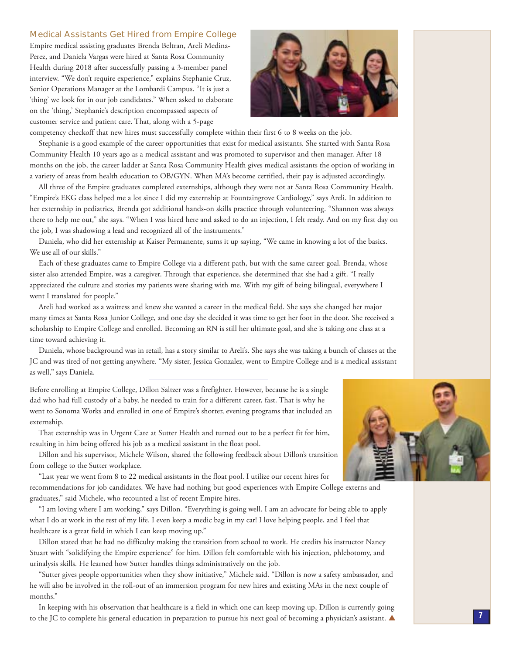#### **Medical Assistants Get Hired from Empire College**

Empire medical assisting graduates Brenda Beltran, Areli Medina-Perez, and Daniela Vargas were hired at Santa Rosa Community Health during 2018 after successfully passing a 3-member panel interview. "We don't require experience," explains Stephanie Cruz, Senior Operations Manager at the Lombardi Campus. "It is just a 'thing' we look for in our job candidates." When asked to elaborate on the 'thing,' Stephanie's description encompassed aspects of customer service and patient care. That, along with a 5-page



competency checkoff that new hires must successfully complete within their first 6 to 8 weeks on the job.

Stephanie is a good example of the career opportunities that exist for medical assistants. She started with Santa Rosa Community Health 10 years ago as a medical assistant and was promoted to supervisor and then manager. After 18 months on the job, the career ladder at Santa Rosa Community Health gives medical assistants the option of working in a variety of areas from health education to OB/GYN. When MA's become certified, their pay is adjusted accordingly.

All three of the Empire graduates completed externships, although they were not at Santa Rosa Community Health. "Empire's EKG class helped me a lot since I did my externship at Fountaingrove Cardiology," says Areli. In addition to her externship in pediatrics, Brenda got additional hands-on skills practice through volunteering. "Shannon was always there to help me out," she says. "When I was hired here and asked to do an injection, I felt ready. And on my first day on the job, I was shadowing a lead and recognized all of the instruments."

Daniela, who did her externship at Kaiser Permanente, sums it up saying, "We came in knowing a lot of the basics. We use all of our skills."

Each of these graduates came to Empire College via a different path, but with the same career goal. Brenda, whose sister also attended Empire, was a caregiver. Through that experience, she determined that she had a gift. "I really appreciated the culture and stories my patients were sharing with me. With my gift of being bilingual, everywhere I went I translated for people."

Areli had worked as a waitress and knew she wanted a career in the medical field. She says she changed her major many times at Santa Rosa Junior College, and one day she decided it was time to get her foot in the door. She received a scholarship to Empire College and enrolled. Becoming an RN is still her ultimate goal, and she is taking one class at a time toward achieving it.

Daniela, whose background was in retail, has a story similar to Areli's. She says she was taking a bunch of classes at the JC and was tired of not getting anywhere. "My sister, Jessica Gonzalez, went to Empire College and is a medical assistant as well," says Daniela.

Before enrolling at Empire College, Dillon Saltzer was a firefighter. However, because he is a single dad who had full custody of a baby, he needed to train for a different career, fast. That is why he went to Sonoma Works and enrolled in one of Empire's shorter, evening programs that included an externship.

That externship was in Urgent Care at Sutter Health and turned out to be a perfect fit for him, resulting in him being offered his job as a medical assistant in the float pool.

Dillon and his supervisor, Michele Wilson, shared the following feedback about Dillon's transition from college to the Sutter workplace.

"Last year we went from 8 to 22 medical assistants in the float pool. I utilize our recent hires for recommendations for job candidates. We have had nothing but good experiences with Empire College externs and graduates," said Michele, who recounted a list of recent Empire hires.

"I am loving where I am working," says Dillon. "Everything is going well. I am an advocate for being able to apply what I do at work in the rest of my life. I even keep a medic bag in my car! I love helping people, and I feel that healthcare is a great field in which I can keep moving up."

Dillon stated that he had no difficulty making the transition from school to work. He credits his instructor Nancy Stuart with "solidifying the Empire experience" for him. Dillon felt comfortable with his injection, phlebotomy, and urinalysis skills. He learned how Sutter handles things administratively on the job.

"Sutter gives people opportunities when they show initiative," Michele said. "Dillon is now a safety ambassador, and he will also be involved in the roll-out of an immersion program for new hires and existing MAs in the next couple of months."

In keeping with his observation that healthcare is a field in which one can keep moving up, Dillon is currently going to the JC to complete his general education in preparation to pursue his next goal of becoming a physician's assistant.

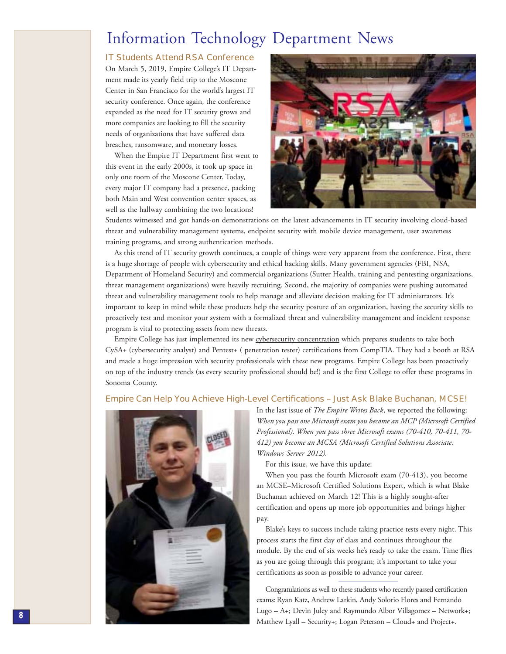### Information Technology Department News

### IT Students Attend RSA Conference

On March 5, 2019, Empire College's IT Department made its yearly field trip to the Moscone Center in San Francisco for the world's largest IT security conference. Once again, the conference expanded as the need for IT security grows and more companies are looking to fill the security needs of organizations that have suffered data breaches, ransomware, and monetary losses.

When the Empire IT Department first went to this event in the early 2000s, it took up space in only one room of the Moscone Center. Today, every major IT company had a presence, packing both Main and West convention center spaces, as well as the hallway combining the two locations!



Students witnessed and got hands-on demonstrations on the latest advancements in IT security involving cloud-based threat and vulnerability management systems, endpoint security with mobile device management, user awareness training programs, and strong authentication methods.

As this trend of IT security growth continues, a couple of things were very apparent from the conference. First, there is a huge shortage of people with cybersecurity and ethical hacking skills. Many government agencies (FBI, NSA, Department of Homeland Security) and commercial organizations (Sutter Health, training and pentesting organizations, threat management organizations) were heavily recruiting. Second, the majority of companies were pushing automated threat and vulnerability management tools to help manage and alleviate decision making for IT administrators. It's important to keep in mind while these products help the security posture of an organization, having the security skills to proactively test and monitor your system with a formalized threat and vulnerability management and incident response program is vital to protecting assets from new threats.

Empire College has just implemented its new cybersecurity concentration which prepares students to take both CySA+ (cybersecurity analyst) and Pentest+ (penetration tester) certifications from CompTIA. They had a booth at RSA and made a huge impression with security professionals with these new programs. Empire College has been proactively on top of the industry trends (as every security professional should be!) and is the first College to offer these programs in Sonoma County.

### Empire Can Help You Achieve High-Level Certifications – Just Ask Blake Buchanan, MCSE!



In the last issue of *The Empire Writes Back*, we reported the following: When you pass one Microsoft exam you become an MCP (Microsoft Certified Professional). When you pass three Microsoft exams (70-410, 70-411, 70-412) you become an MCSA (Microsoft Certified Solutions Associate: Windows Server 2012).

For this issue, we have this update:

When you pass the fourth Microsoft exam (70-413), you become an MCSE–Microsoft Certified Solutions Expert, which is what Blake Buchanan achieved on March 12! This is a highly sought-after certification and opens up more job opportunities and brings higher pay.

Blake's keys to success include taking practice tests every night. This process starts the first day of class and continues throughout the module. By the end of six weeks he's ready to take the exam. Time flies as you are going through this program; it's important to take your certifications as soon as possible to advance your career.

Congratulations as well to these students who recently passed certification exams: Ryan Katz, Andrew Larkin, Andy Solorio Flores and Fernando Lugo - A+; Devin Juley and Raymundo Albor Villagomez - Network+; Matthew Lyall - Security+; Logan Peterson - Cloud+ and Project+.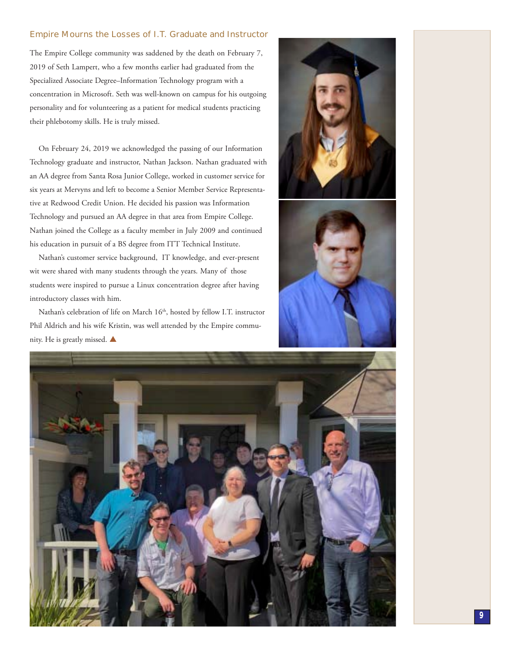### **Empire Mourns the Losses of I.T. Graduate and Instructor**

The Empire College community was saddened by the death on February 7, 2019 of Seth Lampert, who a few months earlier had graduated from the Specialized Associate Degree-Information Technology program with a concentration in Microsoft. Seth was well-known on campus for his outgoing personality and for volunteering as a patient for medical students practicing their phlebotomy skills. He is truly missed.

On February 24, 2019 we acknowledged the passing of our Information Technology graduate and instructor, Nathan Jackson. Nathan graduated with an AA degree from Santa Rosa Junior College, worked in customer service for six years at Mervyns and left to become a Senior Member Service Representative at Redwood Credit Union. He decided his passion was Information Technology and pursued an AA degree in that area from Empire College. Nathan joined the College as a faculty member in July 2009 and continued his education in pursuit of a BS degree from ITT Technical Institute.

Nathan's customer service background, IT knowledge, and ever-present wit were shared with many students through the years. Many of those students were inspired to pursue a Linux concentration degree after having introductory classes with him.

Nathan's celebration of life on March 16<sup>th</sup>, hosted by fellow I.T. instructor Phil Aldrich and his wife Kristin, was well attended by the Empire community. He is greatly missed.





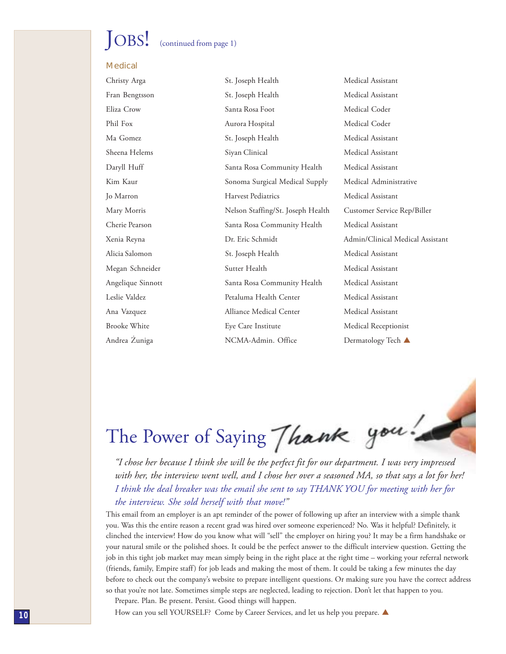# $\log!$

### (continued from page 1)

### **Medical**

| Christy Arga      | St. Joseph Health                 | Medical Assistant                |
|-------------------|-----------------------------------|----------------------------------|
| Fran Bengtsson    | St. Joseph Health                 | Medical Assistant                |
| Eliza Crow        | Santa Rosa Foot                   | Medical Coder                    |
| Phil Fox          | Aurora Hospital                   | Medical Coder                    |
| Ma Gomez          | St. Joseph Health                 | Medical Assistant                |
| Sheena Helems     | Siyan Clinical                    | Medical Assistant                |
| Daryll Huff       | Santa Rosa Community Health       | Medical Assistant                |
| Kim Kaur          | Sonoma Surgical Medical Supply    | Medical Administrative           |
| lo Marron         | <b>Harvest Pediatrics</b>         | Medical Assistant                |
| Mary Morris       | Nelson Staffing/St. Joseph Health | Customer Service Rep/Biller      |
| Cherie Pearson    | Santa Rosa Community Health       | Medical Assistant                |
| Xenia Reyna       | Dr. Eric Schmidt                  | Admin/Clinical Medical Assistant |
| Alicia Salomon    | St. Joseph Health                 | Medical Assistant                |
| Megan Schneider   | Sutter Health                     | Medical Assistant                |
| Angelique Sinnott | Santa Rosa Community Health       | Medical Assistant                |
| Leslie Valdez     | Petaluma Health Center            | Medical Assistant                |
| Ana Vazquez       | Alliance Medical Center           | Medical Assistant                |
| Brooke White      | Eye Care Institute                | Medical Receptionist             |
| Andrea Zuniga     | NCMA-Admin. Office                | Dermatology Tech ▲               |
|                   |                                   |                                  |

The Power of Saying Thank you!

with her, the interview went well, and I chose her over a seasoned MA, so that says a lot for her! I think the deal breaker was the email she sent to say THANK YOU for meeting with her for the interview. She sold herself with that move!"

This email from an employer is an apt reminder of the power of following up after an interview with a simple thank you. Was this the entire reason a recent grad was hired over someone experienced? No. Was it helpful? Definitely, it clinched the interview! How do you know what will "sell" the employer on hiring you? It may be a firm handshake or your natural smile or the polished shoes. It could be the perfect answer to the difficult interview question. Getting the job in this tight job market may mean simply being in the right place at the right time – working your referral network (friends, family, Empire staff) for job leads and making the most of them. It could be taking a few minutes the day before to check out the company's website to prepare intelligent questions. Or making sure you have the correct address so that you're not late. Sometimes simple steps are neglected, leading to rejection. Don't let that happen to you.

Prepare. Plan. Be present. Persist. Good things will happen.

How can you sell YOURSELF? Come by Career Services, and let us help you prepare.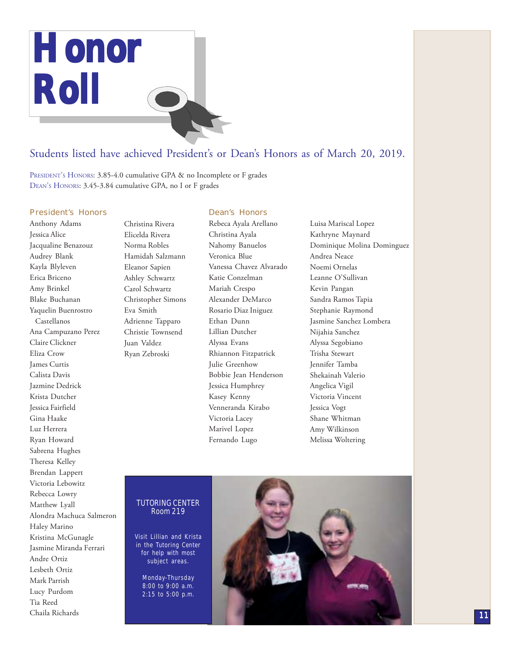

### Students listed have achieved President's or Dean's Honors as of March 20, 2019.

President's Honors: 3.85-4.0 cumulative GPA & no Incomplete or F grades DEAN's HONORS: 3.45-3.84 cumulative GPA, no I or F grades

### President's Honors

### Anthony Adams Jessica Alice Jacqualine Benazouz Audrey Blank Kayla Blyleven Erica Briceno Amy Brinkel Blake Buchanan Yaquelin Buenrostro Castellanos Ana Campuzano Perez Claire Clickner Eliza Crow James Curtis Calista Davis Jazmine Dedrick Krista Dutcher Jessica Fairfield Gina Haake Luz Herrera Ryan Howard Sabrena Hughes Theresa Kelley Brendan Lappert Victoria Lebowitz Rebecca Lowry Matthew Lyall Alondra Machuca Salmeron Haley Marino Kristina McGunagle Jasmine Miranda Ferrari Andre Ortiz Lesbeth Ortiz Mark Parrish Lucy Purdom Tia Reed Chaila Richards

Christina Rivera Elicelda Rivera Norma Robles Hamidah Salzmann Eleanor Sapien Ashley Schwartz Carol Schwartz Christopher Simons Eva Smith Adrienne Tapparo Christie Townsend Juan Valdez Ryan Zebroski

### Dean's Honors

Rebeca Ayala Arellano Christina Ayala Nahomy Banuelos Veronica Blue Vanessa Chavez Alvarado Katie Conzelman Mariah Crespo Alexander DeMarco Rosario Diaz Iniguez Ethan Dunn Lillian Dutcher Alyssa Evans Rhiannon Fitzpatrick Julie Greenhow Bobbie Jean Henderson Jessica Humphrey Kasey Kenny Venneranda Kirabo Victoria Lacey Marivel Lopez Fernando Lugo

Luisa Mariscal Lopez Kathryne Maynard Dominique Molina Dominguez Andrea Neace Noemi Ornelas Leanne O'Sullivan Kevin Pangan Sandra Ramos Tapia Stephanie Raymond Jasmine Sanchez Lombera Nijahia Sanchez Alyssa Segobiano Trisha Stewart Jennifer Tamba Shekainah Valerio Angelica Vigil Victoria Vincent Jessica Vogt Shane Whitman Amy Wilkinson Melissa Woltering

#### TUTORING CENTER Room 219

Visit Lillian and Krista in the Tutoring Center for help with most subject areas.

Monday-Thursday 8:00 to 9:00 a.m. 2:15 to 5:00 p.m.